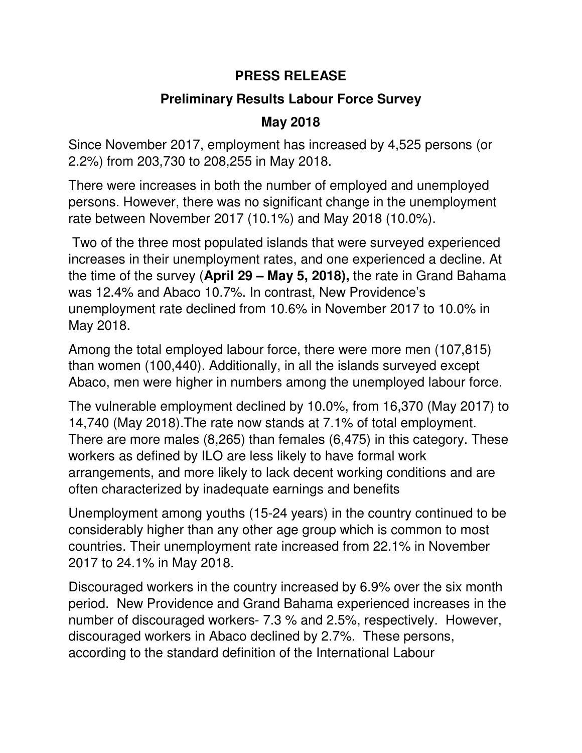#### **PRESS RELEASE**

## **Preliminary Results Labour Force Survey**

## **May 2018**

Since November 2017, employment has increased by 4,525 persons (or 2.2%) from 203,730 to 208,255 in May 2018.

There were increases in both the number of employed and unemployed persons. However, there was no significant change in the unemployment rate between November 2017 (10.1%) and May 2018 (10.0%).

 Two of the three most populated islands that were surveyed experienced increases in their unemployment rates, and one experienced a decline. At the time of the survey (**April 29 – May 5, 2018),** the rate in Grand Bahama was 12.4% and Abaco 10.7%. In contrast, New Providence's unemployment rate declined from 10.6% in November 2017 to 10.0% in May 2018.

Among the total employed labour force, there were more men (107,815) than women (100,440). Additionally, in all the islands surveyed except Abaco, men were higher in numbers among the unemployed labour force.

The vulnerable employment declined by 10.0%, from 16,370 (May 2017) to 14,740 (May 2018).The rate now stands at 7.1% of total employment. There are more males (8,265) than females (6,475) in this category. These workers as defined by ILO are less likely to have formal work arrangements, and more likely to lack decent working conditions and are often characterized by inadequate earnings and benefits

Unemployment among youths (15-24 years) in the country continued to be considerably higher than any other age group which is common to most countries. Their unemployment rate increased from 22.1% in November 2017 to 24.1% in May 2018.

Discouraged workers in the country increased by 6.9% over the six month period. New Providence and Grand Bahama experienced increases in the number of discouraged workers- 7.3 % and 2.5%, respectively. However, discouraged workers in Abaco declined by 2.7%. These persons, according to the standard definition of the International Labour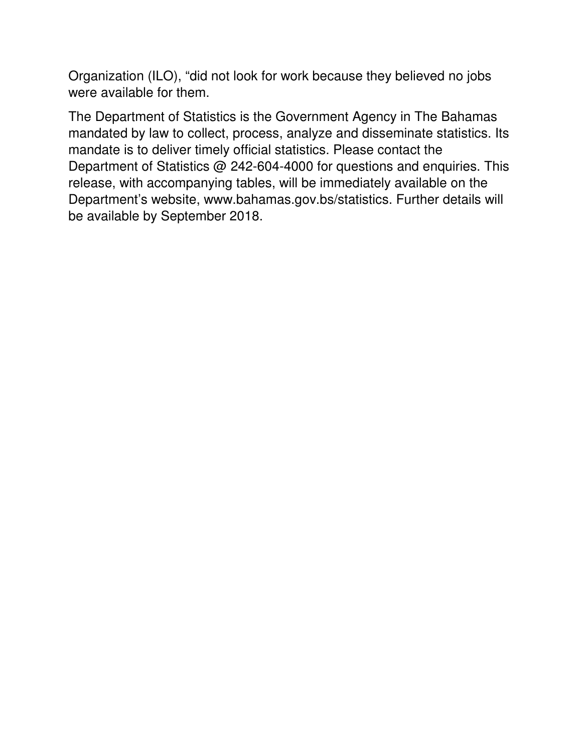Organization (ILO), "did not look for work because they believed no jobs were available for them.

The Department of Statistics is the Government Agency in The Bahamas mandated by law to collect, process, analyze and disseminate statistics. Its mandate is to deliver timely official statistics. Please contact the Department of Statistics @ 242-604-4000 for questions and enquiries. This release, with accompanying tables, will be immediately available on the Department's website, www.bahamas.gov.bs/statistics. Further details will be available by September 2018.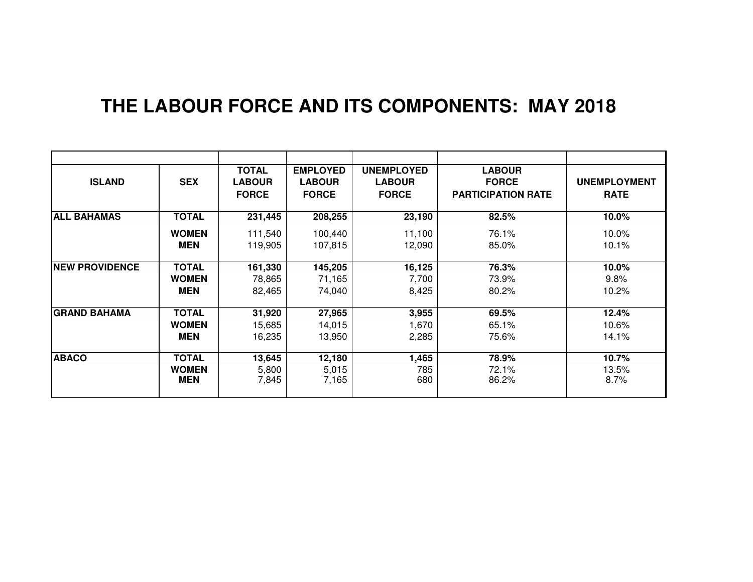# **THE LABOUR FORCE AND ITS COMPONENTS: MAY 2018**

| <b>ISLAND</b>         | <b>SEX</b>   | <b>TOTAL</b><br><b>LABOUR</b><br><b>FORCE</b> | <b>EMPLOYED</b><br><b>LABOUR</b><br><b>FORCE</b> | <b>UNEMPLOYED</b><br><b>LABOUR</b><br><b>FORCE</b> | <b>LABOUR</b><br><b>FORCE</b><br><b>PARTICIPATION RATE</b> | <b>UNEMPLOYMENT</b><br><b>RATE</b> |
|-----------------------|--------------|-----------------------------------------------|--------------------------------------------------|----------------------------------------------------|------------------------------------------------------------|------------------------------------|
| <b>ALL BAHAMAS</b>    | <b>TOTAL</b> | 231,445                                       | 208,255                                          | 23,190                                             | 82.5%                                                      | 10.0%                              |
|                       | <b>WOMEN</b> | 111,540                                       | 100,440                                          | 11,100                                             | 76.1%                                                      | 10.0%                              |
|                       | <b>MEN</b>   | 119,905                                       | 107,815                                          | 12,090                                             | 85.0%                                                      | 10.1%                              |
| <b>NEW PROVIDENCE</b> | <b>TOTAL</b> | 161,330                                       | 145,205                                          | 16,125                                             | 76.3%                                                      | 10.0%                              |
|                       | <b>WOMEN</b> | 78,865                                        | 71,165                                           | 7,700                                              | 73.9%                                                      | 9.8%                               |
|                       | <b>MEN</b>   | 82,465                                        | 74,040                                           | 8,425                                              | 80.2%                                                      | $10.2\%$                           |
| <b>GRAND BAHAMA</b>   | <b>TOTAL</b> | 31,920                                        | 27,965                                           | 3,955                                              | 69.5%                                                      | 12.4%                              |
|                       | <b>WOMEN</b> | 15,685                                        | 14,015                                           | 1,670                                              | 65.1%                                                      | $10.6\%$                           |
|                       | <b>MEN</b>   | 16,235                                        | 13,950                                           | 2,285                                              | 75.6%                                                      | 14.1%                              |
| <b>ABACO</b>          | <b>TOTAL</b> | 13,645                                        | 12,180                                           | 1,465                                              | 78.9%                                                      | 10.7%                              |
|                       | <b>WOMEN</b> | 5,800                                         | 5,015                                            | 785                                                | 72.1%                                                      | 13.5%                              |
|                       | MEN          | 7,845                                         | 7,165                                            | 680                                                | 86.2%                                                      | 8.7%                               |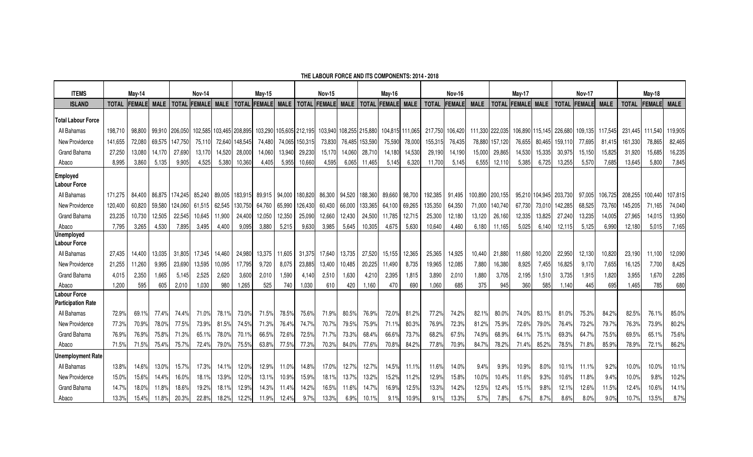| <b>ITEMS</b>                                     | May-14  |               |             | <b>Nov-14</b>  |                | <b>May-15</b> |                 | <b>Nov-15</b> |             | May-16          |                | <b>Nov-16</b>           |         | May-17            |        |              | <b>Nov-17</b> |                 |                 | <b>May-18</b>   |                |              |         |             |              |                 |             |
|--------------------------------------------------|---------|---------------|-------------|----------------|----------------|---------------|-----------------|---------------|-------------|-----------------|----------------|-------------------------|---------|-------------------|--------|--------------|---------------|-----------------|-----------------|-----------------|----------------|--------------|---------|-------------|--------------|-----------------|-------------|
| <b>ISLAND</b>                                    | TOTAL   | <b>FEMALE</b> | <b>MALE</b> | <b>TOTAL</b>   | <b>IFEMALF</b> | <b>MALE</b>   | <b>TOTAL</b>    | <b>FEMALE</b> | <b>MALE</b> | <b>TOTAL</b>    | <b>IFEMALE</b> | <b>MALE</b>             |         | TOTAL FEMALE MALE |        | <b>TOTAL</b> | <b>FEMALE</b> | <b>MALE</b>     | <b>TOTAL</b>    | <b>FEMALE</b>   | <b>MALE</b>    | <b>TOTAL</b> | FEMALE  | <b>MALE</b> | <b>TOTAL</b> | <b>FEMALE</b>   | <b>MALE</b> |
| <b>Total Labour Force</b>                        |         |               |             |                |                |               |                 |               |             |                 |                |                         |         |                   |        |              |               |                 |                 |                 |                |              |         |             |              |                 |             |
| All Bahamas                                      | 198.710 | 98,800        |             | 99,910 206,050 | 102,585        |               | 103,465 208,895 | 103,290       |             | 105,605 212,195 |                | 103,940 108,255 215,880 |         | 104,815 111,065   |        | 217,750      | 106,420       |                 | 111,330 222,035 | 106,890 115,145 |                | 226,680      | 109,135 | 117,545     |              | 231,445 111,540 | 119,905     |
| New Providence                                   | 141,655 | 72,080        | 69,575      | 147.750        | 75,110         |               | 72,640 148,545  | 74,480        |             | 74,065 150,315  | 73,830         | 76,485                  | 153,590 | 75,590            | 78,000 | 155,315      | 76,435        |                 | 78,880 157,120  | 76,655          | 80,465         | 159,110      | 77,695  | 81,415      | 161,330      | 78,865          | 82,465      |
| <b>Grand Bahama</b>                              | 27.250  | 13.080        | 14.170      | 27.690         | 13.170         | 14.520        | 28,000          | 14.060        | 13.940      | 29,230          | 15.170         | 14.060                  | 28.71   | 14.180            | 14.530 | 29,190       | 14.190        | 15.000          | 29.865          | 14,530          | 15.335         | 30.975       | 15.150  | 15.825      | 31.920       | 15.685          | 16,235      |
| Abaco                                            | 8.995   | 3.860         | 5.135       | 9.905          | 4,525          | 5,380         | 10,360          | 4.405         | 5,955       | 10,660          | 4,595          | 6.065                   | 11.465  | 5,145             | 6,320  | 11.700       | 5,145         | 6,555           | 12,110          | 5,385           | 6,725          | 13,255       | 5,570   | 7,685       | 13.645       | 5.800           | 7,845       |
| <b>Employed</b><br><b>Labour Force</b>           |         |               |             |                |                |               |                 |               |             |                 |                |                         |         |                   |        |              |               |                 |                 |                 |                |              |         |             |              |                 |             |
| All Bahamas                                      | 171.275 | 84.400        | 86.875      | 174.245        |                | 85.240 89.005 | 183.915         | 89.915        | 94.000      | 180,820         | 86.300         | 94.520                  | 188.360 | 89.660 98.700     |        | 192.385      | 91.495        | 100.890 200.155 |                 |                 | 95.210 104.945 | 203.730      | 97.005  | 106.725     | 208.255      | 100.440         | 107.815     |
| New Providence                                   | 120.400 | 60,820        | 59.580      | 124.060        | 61.515         | 62.545        | 130.750         | 64.760        | 65.990      | 126,430         | 60,430         | 66,000                  | 133.365 | 64,100            | 69,265 | 135,350      | 64,350        | 71,000          | 140.740         | 67,730          | 73.010         | 142,285      | 68.525  | 73,760      | 145,205      | 71,165          | 74,040      |
| Grand Bahama                                     | 23,235  | 10,730        | 12,505      | 22.545         | 10.645         | 11.900        | 24,400          | 12,050        | 12,350      | 25.090          | 12,660         | 12,430                  | 24,500  | 11.785            | 12,715 | 25,300       | 12,180        | 13,120          | 26,160          | 12,335          | 13.825         | 27.240       | 13,235  | 14,005      | 27,965       | 14,015          | 13,950      |
| Abaco                                            | 7,795   | 3,265         | 4,530       | 7,895          | 3,495          | 4,400         | 9,095           | 3,880         | 5,215       | 9,630           | 3,985          | 5,645                   | 10,305  | 4,675             | 5,630  | 10,640       | 4,460         | 6,180           | 11,165          | 5,025           | 6,140          | 12,115       | 5,125   | 6,990       | 12,180       | 5,015           | 7,165       |
| <b>Unemployed</b><br><b>Labour Force</b>         |         |               |             |                |                |               |                 |               |             |                 |                |                         |         |                   |        |              |               |                 |                 |                 |                |              |         |             |              |                 |             |
| All Bahamas                                      | 27.435  | 14,400        | 13,035      | 31.805         | 17,345         | 14.460        | 24,980          | 13,375        | 11,605      | 31,375          | 17,640         | 13.735                  | 27,520  | 15,155            | 12,365 | 25,365       | 14,925        | 10,440          | 21.880          | 11,680          | 10,200         | 22,950       | 12,130  | 10,820      | 23,190       | 11.100          | 12,090      |
| New Providence                                   | 21.255  | 11,260        | 9,995       | 23.690         | 13,595         | 10.095        | 17.795          | 9.720         | 8,075       | 23.885          | 13,400         | 10.485                  | 20,225  | 11.490            | 8.735  | 19.965       | 12,085        | 7,880           | 16,380          | 8,925           | 7,455          | 16,825       | 9,170   | 7,655       | 16,125       | 7,700           | 8,425       |
| Grand Bahama                                     | 4.015   | 2,350         | 1.665       | 5,145          | 2,525          | 2.620         | 3,600           | 2.010         | 1.590       | 4.140           | 2,510          | 1.630                   | 4,21    | 2.395             | 1.815  | 3.890        | 2.010         | 1.880           | 3.705           | 2,195           | 1,510          | 3.735        | 1.915   | 1.820       | 3.955        | 1,670           | 2,285       |
| Abaco                                            | 1,200   | 595           | 605         | 2,010          | 1,030          | 980           | 1,265           | 525           | 740         | 1,030           | 610            | 420                     | 1,160   | 470               | 690    | 1.060        | 685           | 375             | 945             | 360             | 585            | 1,140        | 445     | 695         | 1,465        | 785             | 680         |
| <b>Labour Force</b><br><b>Participation Rate</b> |         |               |             |                |                |               |                 |               |             |                 |                |                         |         |                   |        |              |               |                 |                 |                 |                |              |         |             |              |                 |             |
| All Bahamas                                      | 72.9%   | 69.1%         | 77.4%       | 74.4%          | 71.0%          | 78.1%         | 73.0%           | 71.5%         | 78.5%       | 75.6%           | 71.9%          | 80.5%                   | 76.9%   | 72.0%             | 81.2%  | 77.2%        | 74.2%         | 82.1%           | 80.0%           | 74.0%           | 83.1%          | 81.0%        | 75.3%   | 84.2%       | 82.5%        | 76.1%           | 85.0%       |
| New Providence                                   | 77.3%   | 70.9%         | 78.0%       | 77.5%          | 73.9%          | 81.5%         | 74.5%           | 71.3%         | 76.4%       | 74.7%           | 70.7%          | 79.5%                   | 75.9%   | 71.1%             | 80.3%  | 76.9%        | 72.3%         | 81.2%           | 75.9%           | 72.6%           | 79.0%          | 76.4%        | 73.2%   | 79.7%       | 76.3%        | 73.9%           | 80.2%       |
| <b>Grand Bahama</b>                              | 76.9%   | 76.9%         | 75.8%       | 71.3%          | 65.1%          | 78.0%         | 70.1%           | 66.5%         | 72.6%       | 72.5%           | 71.7%          | 73.3%                   | 68.4%   | 66.6%             | 73.7%  | 68.2%        | 67.5%         | 74.9%           | 68.9%           | 64.1%           | 75.1%          | 69.3%        | 64.7%   | 75.5%       | 69.5%        | 65.1%           | 75.6%       |
| Abaco                                            | 71.5%   | 71.5%         | 75.4%       | 75.7%          | 72.4%          | 79.0%         | 75.5%           | 63.8%         | 77.5%       | 77.3%           | 70.3%          | 84.0%                   | 77.6°   | 70.8%             | 84.2%  | 77.8%        | 70.9%         | 84.7%           | 78.2%           | 71.4%           | 85.2%          | 78.5%        | 71.8%   | 85.9%       | 78.9%        | 72.1%           | 86.2%       |
| Unemployment Rate                                |         |               |             |                |                |               |                 |               |             |                 |                |                         |         |                   |        |              |               |                 |                 |                 |                |              |         |             |              |                 |             |
| All Bahamas                                      | 13.8%   | 14.6%         | 13.0%       | 15.7%          | 17.3%          | 14.1%         | 12.0%           | 12.9%         | 11.0%       | 14.8%           | 17.0%          | 12.7%                   | 12.7%   | 14.5%             | 11.1%  | 11.6%        | 14.0%         | 9.4%            | 9.9%            | 10.9%           | 8.0%           | 10.1%        | 11.1%   | 9.2%        | 10.0%        | 10.0%           | 10.1%       |
| New Providence                                   | 15.0%   | 15.6%         | 14.4%       | 16.0%          | 18.1%          | 13.9%         | 12.0%           | 13.1%         | 10.9%       | 15.9%           | 18.1%          | 13.7%                   | 13.2%   | 15.2%             | 11.2%  | 12.9%        | 15.8%         | 10.0%           | 10.4%           | 11.6%           | 9.3%           | 10.6%        | 11.8%   | 9.4%        | 10.0%        | 9.8%            | 10.2%       |
| Grand Bahama                                     | 14.7%   | 18.0%         | 11.8%       | 18.6%          | 19.2%          | 18.1%         | 12.9%           | 14.3%         | 11.4%       | 14.2%           | 16.5%          | 11.6%                   | 14.7%   | 16.9%             | 12.5%  | 13.3%        | 14.2%         | 12.5%           | 12.4%           | 15.1%           | 9.8%           | 12.1%        | 12.6%   | 11.5%       | 12.4%        | 10.6%           | 14.1%       |
| Abaco                                            | 13.3%   | 15.4%         | 11.8%       | 20.3%          | 22.8%          | 18.2%         | 12.2%           | 11.9%         | 12.4%       | 9.7%            | 13.3%          | 6.9%                    | 10.1%   |                   | 10.9%  | 9.1%         | 13.3%         | 5.7%            | 7.8%            | 6.7%            | 8.7%           | 8.6%         | 8.0%    | 9.0%        | 10.7%        | 13.5%           | 8.7%        |

**THE LABOUR FORCE AND ITS COMPONENTS: 2014 - 2018**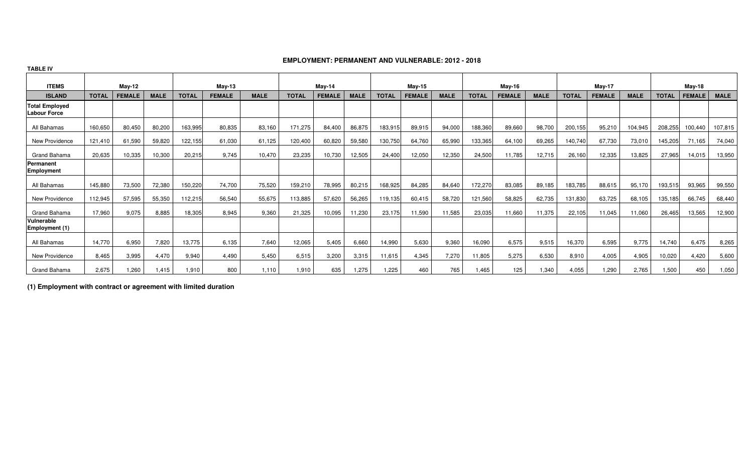#### **EMPLOYMENT: PERMANENT AND VULNERABLE: 2012 - 2018**

| <b>TABLE IV</b>                              |               |               |             |               |               |             |              |               |               |              |               |             |              |               |               |              |               |             |              |               |             |
|----------------------------------------------|---------------|---------------|-------------|---------------|---------------|-------------|--------------|---------------|---------------|--------------|---------------|-------------|--------------|---------------|---------------|--------------|---------------|-------------|--------------|---------------|-------------|
| <b>ITEMS</b>                                 | <b>May-12</b> |               |             | <b>May-13</b> |               | May-14      |              |               | <b>May-15</b> |              |               | May-16      |              |               | <b>May-17</b> |              |               | May-18      |              |               |             |
| <b>ISLAND</b>                                | <b>TOTAL</b>  | <b>FEMALE</b> | <b>MALE</b> | <b>TOTAL</b>  | <b>FEMALE</b> | <b>MALE</b> | <b>TOTAL</b> | <b>FEMALE</b> | <b>MALE</b>   | <b>TOTAL</b> | <b>FEMALE</b> | <b>MALE</b> | <b>TOTAL</b> | <b>FEMALE</b> | <b>MALE</b>   | <b>TOTAL</b> | <b>FEMALE</b> | <b>MALE</b> | <b>TOTAL</b> | <b>FEMALE</b> | <b>MALE</b> |
| <b>Total Employed</b><br><b>Labour Force</b> |               |               |             |               |               |             |              |               |               |              |               |             |              |               |               |              |               |             |              |               |             |
| All Bahamas                                  | 160,650       | 80,450        | 80,200      | 163,995       | 80,835        | 83,160      | 171,275      | 84,400        | 86,875        | 183,915      | 89,915        | 94,000      | 188,360      | 89,660        | 98,700        | 200,155      | 95,210        | 104,945     | 208,255      | 100,440       | 107,815     |
| New Providence                               | 121,410       | 61,590        | 59,820      | 122,155       | 61,030        | 61,125      | 120,400      | 60,820        | 59,580        | 130,750      | 64,760        | 65,990      | 133,365      | 64,100        | 69,265        | 140,740      | 67,730        | 73,010      | 145,205      | 71,165        | 74,040      |
| Grand Bahama                                 | 20.635        | 10.335        | 10,300      | 20,215        | 9.745         | 10.470      | 23.235       | 10,730        | 12,505        | 24,400       | 12,050        | 12,350      | 24,500       | 11.785        | 12,715        | 26,160       | 12,335        | 13,825      | 27,965       | 14,015        | 13,950      |
| Permanent<br><b>Employment</b>               |               |               |             |               |               |             |              |               |               |              |               |             |              |               |               |              |               |             |              |               |             |
| All Bahamas                                  | 145,880       | 73,500        | 72,380      | 150,220       | 74,700        | 75,520      | 159,210      | 78,995        | 80,215        | 168,925      | 84,285        | 84,640      | 172,270      | 83,085        | 89,185        | 183,785      | 88,615        | 95,170      | 193,515      | 93,965        | 99,550      |
| New Providence                               | 112,945       | 57,595        | 55,350      | 112,215       | 56,540        | 55,675      | 113,885      | 57,620        | 56,265        | 19,135       | 60,415        | 58,720      | 121,560      | 58,825        | 62,735        | 131,830      | 63,725        | 68,105      | 135,185      | 66,745        | 68,440      |
| Grand Bahama                                 | 17,960        | 9,075         | 8,885       | 18,305        | 8,945         | 9,360       | 21,325       | 10,095        | 11,230        | 23,175       | 11,590        | 11,585      | 23,035       | 11,660        | 11,375        | 22,105       | 11,045        | 11,060      | 26,465       | 13,565        | 12,900      |
| Vulnerable<br>Employment (1)                 |               |               |             |               |               |             |              |               |               |              |               |             |              |               |               |              |               |             |              |               |             |
| All Bahamas                                  | 14,770        | 6,950         | 7,820       | 13,775        | 6,135         | 7,640       | 12,065       | 5,405         | 6,660         | 14,990       | 5,630         | 9,360       | 16,090       | 6,575         | 9,515         | 16,370       | 6,595         | 9,775       | 14,740       | 6,475         | 8,265       |
| New Providence                               | 8,465         | 3,995         | 4,470       | 9,940         | 4,490         | 5,450       | 6,515        | 3,200         | 3,315         | 11,615       | 4,345         | 7,270       | 11,805       | 5,275         | 6,530         | 8,910        | 4,005         | 4,905       | 10,020       | 4,420         | 5,600       |
| Grand Bahama                                 | 2,675         | .260          | 1.415       | 1,910         | 800           | 1.110       | 1.910        | 635           | .275          | 1,225        | 460           | 765         | 1.465        | 125           | 1.340         | 4,055        | 1.290         | 2,765       | 1,500        | 450           | 1,050       |

**(1) Employment with contract or agreement with limited duration**